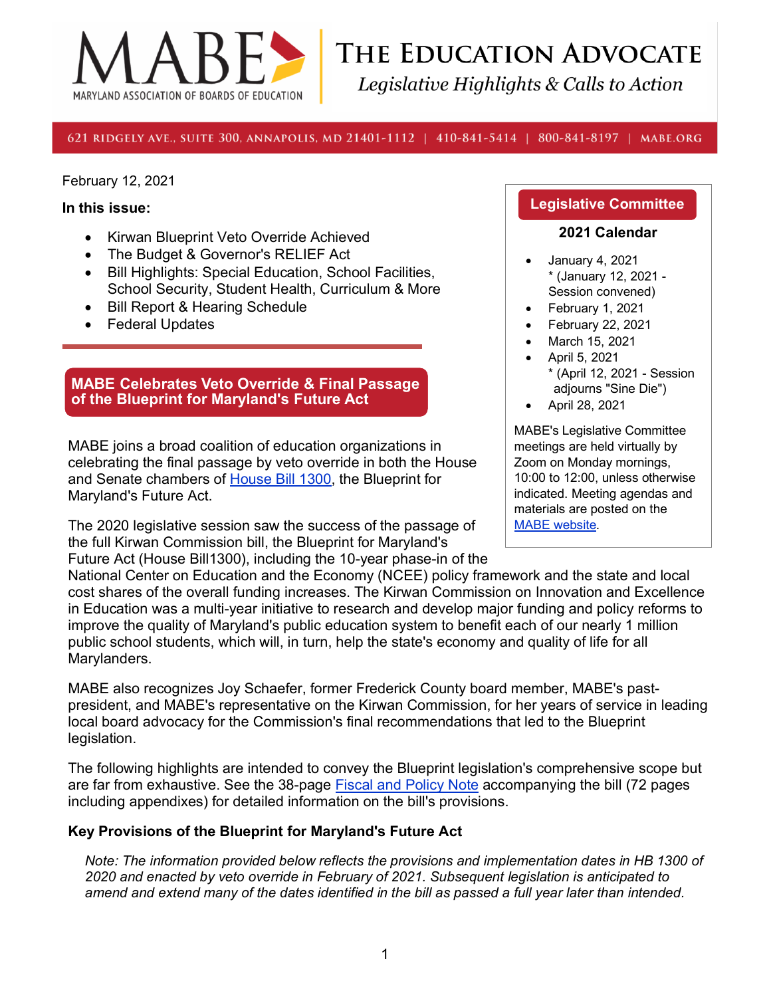

THE EDUCATION ADVOCATE Legislative Highlights & Calls to Action

621 RIDGELY AVE., SUITE 300, ANNAPOLIS, MD 21401-1112 | 410-841-5414 | 800-841-8197 | MABE.ORG

February 12, 2021

#### **In this issue:**

- Kirwan Blueprint Veto Override Achieved
- The Budget & Governor's RELIEF Act
- Bill Highlights: Special Education, School Facilities, School Security, Student Health, Curriculum & More
- Bill Report & Hearing Schedule
- Federal Updates

#### **MABE Celebrates Veto Override & Final Passage of the Blueprint for Maryland's Future Act**

MABE joins a broad coalition of education organizations in celebrating the final passage by veto override in both the House and Senate chambers of [House Bill 1300,](https://mgaleg.maryland.gov/mgawebsite/Legislation/Details/hb1300/?ys=2020rs) the Blueprint for Maryland's Future Act.

The 2020 legislative session saw the success of the passage of the full Kirwan Commission bill, the Blueprint for Maryland's Future Act (House Bill1300), including the 10-year phase-in of the

#### **Legislative Committee**

#### **2021 Calendar**

- January 4, 2021 \* (January 12, 2021 - Session convened)
- February 1, 2021
- February 22, 2021
- March 15, 2021
- April 5, 2021 \* (April 12, 2021 - Session adjourns "Sine Die")
- April 28, 2021

MABE's Legislative Committee meetings are held virtually by Zoom on Monday mornings, 10:00 to 12:00, unless otherwise indicated. Meeting agendas and materials are posted on the [MABE website.](http://www.mabe.org/advocacy/state-advocacy/legislative-committee-meeting-handouts/)

National Center on Education and the Economy (NCEE) policy framework and the state and local cost shares of the overall funding increases. The Kirwan Commission on Innovation and Excellence in Education was a multi-year initiative to research and develop major funding and policy reforms to improve the quality of Maryland's public education system to benefit each of our nearly 1 million public school students, which will, in turn, help the state's economy and quality of life for all Marylanders.

MABE also recognizes Joy Schaefer, former Frederick County board member, MABE's pastpresident, and MABE's representative on the Kirwan Commission, for her years of service in leading local board advocacy for the Commission's final recommendations that led to the Blueprint legislation.

The following highlights are intended to convey the Blueprint legislation's comprehensive scope but are far from exhaustive. See the 38-page [Fiscal and Policy Note](https://mgaleg.maryland.gov/2020RS/fnotes/bil_0000/hb1300.pdf) accompanying the bill (72 pages including appendixes) for detailed information on the bill's provisions.

#### **Key Provisions of the Blueprint for Maryland's Future Act**

*Note: The information provided below reflects the provisions and implementation dates in HB 1300 of 2020 and enacted by veto override in February of 2021. Subsequent legislation is anticipated to amend and extend many of the dates identified in the bill as passed a full year later than intended.*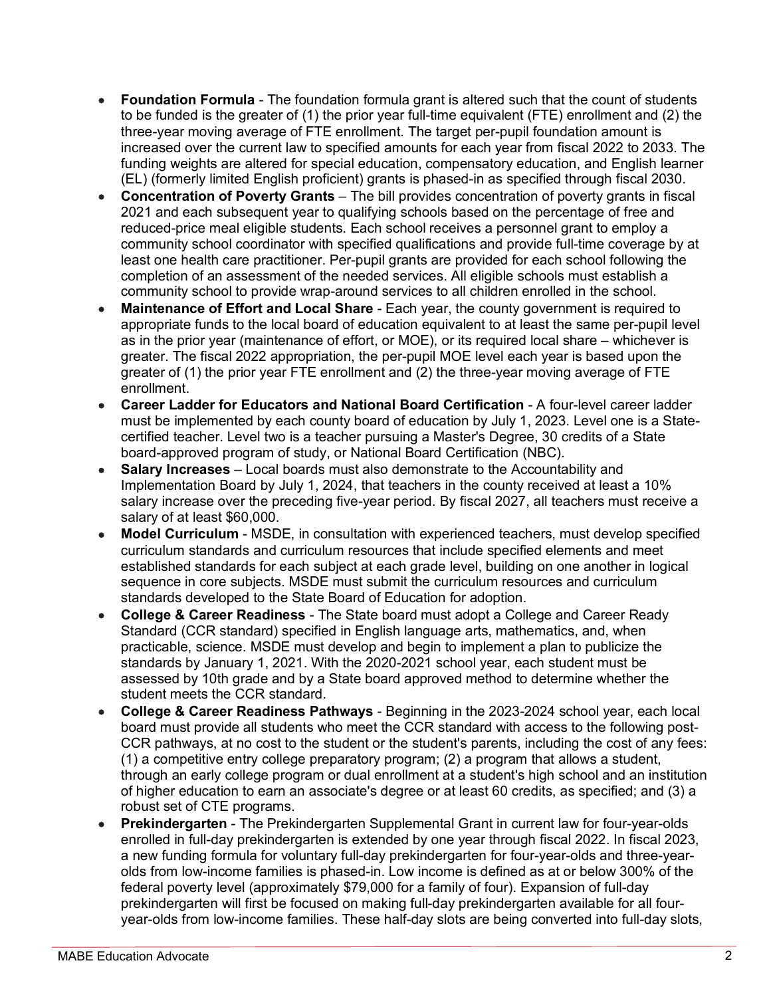- **Foundation Formula** The foundation formula grant is altered such that the count of students to be funded is the greater of (1) the prior year full-time equivalent (FTE) enrollment and (2) the three-year moving average of FTE enrollment. The target per-pupil foundation amount is increased over the current law to specified amounts for each year from fiscal 2022 to 2033. The funding weights are altered for special education, compensatory education, and English learner (EL) (formerly limited English proficient) grants is phased-in as specified through fiscal 2030.
- **Concentration of Poverty Grants** The bill provides concentration of poverty grants in fiscal 2021 and each subsequent year to qualifying schools based on the percentage of free and reduced-price meal eligible students. Each school receives a personnel grant to employ a community school coordinator with specified qualifications and provide full-time coverage by at least one health care practitioner. Per-pupil grants are provided for each school following the completion of an assessment of the needed services. All eligible schools must establish a community school to provide wrap-around services to all children enrolled in the school.
- **Maintenance of Effort and Local Share** Each year, the county government is required to appropriate funds to the local board of education equivalent to at least the same per-pupil level as in the prior year (maintenance of effort, or MOE), or its required local share – whichever is greater. The fiscal 2022 appropriation, the per-pupil MOE level each year is based upon the greater of (1) the prior year FTE enrollment and (2) the three-year moving average of FTE enrollment.
- **Career Ladder for Educators and National Board Certification** A four-level career ladder must be implemented by each county board of education by July 1, 2023. Level one is a Statecertified teacher. Level two is a teacher pursuing a Master's Degree, 30 credits of a State board-approved program of study, or National Board Certification (NBC).
- **Salary Increases** Local boards must also demonstrate to the Accountability and Implementation Board by July 1, 2024, that teachers in the county received at least a 10% salary increase over the preceding five-year period. By fiscal 2027, all teachers must receive a salary of at least \$60,000.
- **Model Curriculum** MSDE, in consultation with experienced teachers, must develop specified curriculum standards and curriculum resources that include specified elements and meet established standards for each subject at each grade level, building on one another in logical sequence in core subjects. MSDE must submit the curriculum resources and curriculum standards developed to the State Board of Education for adoption.
- **College & Career Readiness** The State board must adopt a College and Career Ready Standard (CCR standard) specified in English language arts, mathematics, and, when practicable, science. MSDE must develop and begin to implement a plan to publicize the standards by January 1, 2021. With the 2020-2021 school year, each student must be assessed by 10th grade and by a State board approved method to determine whether the student meets the CCR standard.
- **College & Career Readiness Pathways** Beginning in the 2023-2024 school year, each local board must provide all students who meet the CCR standard with access to the following post-CCR pathways, at no cost to the student or the student's parents, including the cost of any fees: (1) a competitive entry college preparatory program; (2) a program that allows a student, through an early college program or dual enrollment at a student's high school and an institution of higher education to earn an associate's degree or at least 60 credits, as specified; and (3) a robust set of CTE programs.
- **Prekindergarten** The Prekindergarten Supplemental Grant in current law for four-year-olds enrolled in full-day prekindergarten is extended by one year through fiscal 2022. In fiscal 2023, a new funding formula for voluntary full-day prekindergarten for four-year-olds and three-yearolds from low-income families is phased-in. Low income is defined as at or below 300% of the federal poverty level (approximately \$79,000 for a family of four). Expansion of full-day prekindergarten will first be focused on making full-day prekindergarten available for all fouryear-olds from low-income families. These half-day slots are being converted into full-day slots,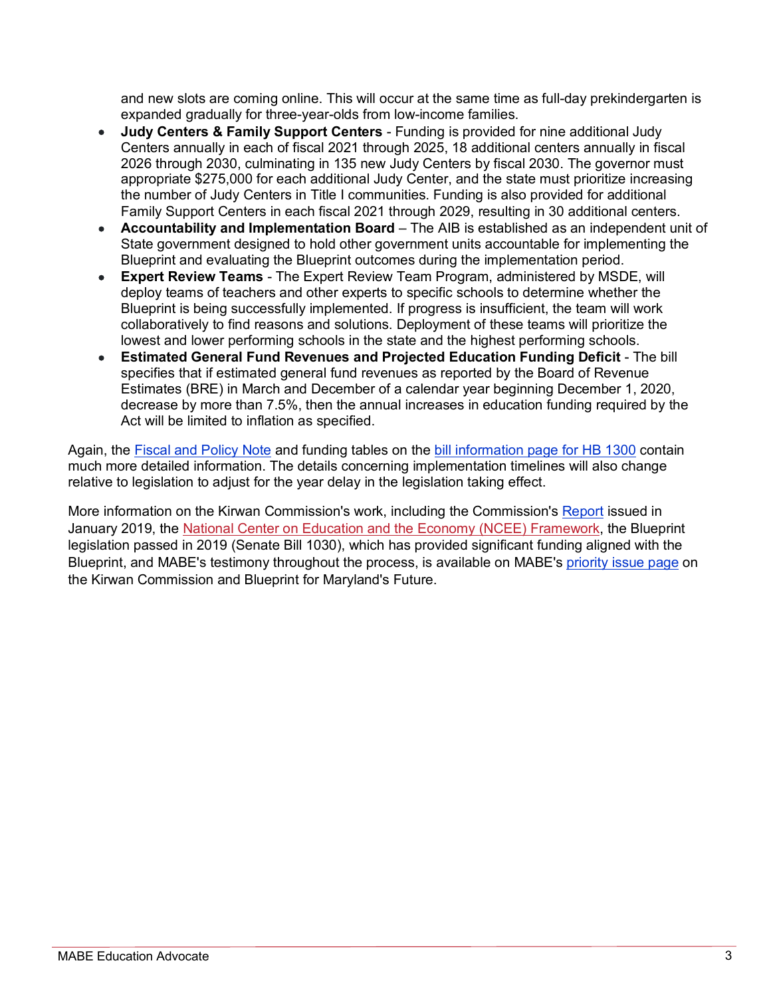and new slots are coming online. This will occur at the same time as full-day prekindergarten is expanded gradually for three-year-olds from low-income families.

- **Judy Centers & Family Support Centers** Funding is provided for nine additional Judy Centers annually in each of fiscal 2021 through 2025, 18 additional centers annually in fiscal 2026 through 2030, culminating in 135 new Judy Centers by fiscal 2030. The governor must appropriate \$275,000 for each additional Judy Center, and the state must prioritize increasing the number of Judy Centers in Title I communities. Funding is also provided for additional Family Support Centers in each fiscal 2021 through 2029, resulting in 30 additional centers.
- **Accountability and Implementation Board** The AIB is established as an independent unit of State government designed to hold other government units accountable for implementing the Blueprint and evaluating the Blueprint outcomes during the implementation period.
- **Expert Review Teams** The Expert Review Team Program, administered by MSDE, will deploy teams of teachers and other experts to specific schools to determine whether the Blueprint is being successfully implemented. If progress is insufficient, the team will work collaboratively to find reasons and solutions. Deployment of these teams will prioritize the lowest and lower performing schools in the state and the highest performing schools.
- **Estimated General Fund Revenues and Projected Education Funding Deficit** The bill specifies that if estimated general fund revenues as reported by the Board of Revenue Estimates (BRE) in March and December of a calendar year beginning December 1, 2020, decrease by more than 7.5%, then the annual increases in education funding required by the Act will be limited to inflation as specified.

Again, the [Fiscal and Policy Note](https://mgaleg.maryland.gov/2020RS/fnotes/bil_0000/hb1300.pdf) and funding tables on the [bill information page for HB 1300](https://mgaleg.maryland.gov/mgawebsite/Legislation/Details/hb1300/?ys=2020rs) contain much more detailed information. The details concerning implementation timelines will also change relative to legislation to adjust for the year delay in the legislation taking effect.

More information on the Kirwan Commission's work, including the Commission's [Report](http://dls.maryland.gov/pubs/prod/NoPblTabMtg/CmsnInnovEduc/2019-Interim-Report-of-the-Commission.pdf) issued in January 2019, the [National Center on Education and the Economy \(NCEE\) Framework,](http://ncee.org/9buildingblocks/) the Blueprint legislation passed in 2019 (Senate Bill 1030), which has provided significant funding aligned with the Blueprint, and MABE's testimony throughout the process, is available on MABE's [priority issue page](https://www.mabe.org/adequacy-funding/) on the Kirwan Commission and Blueprint for Maryland's Future.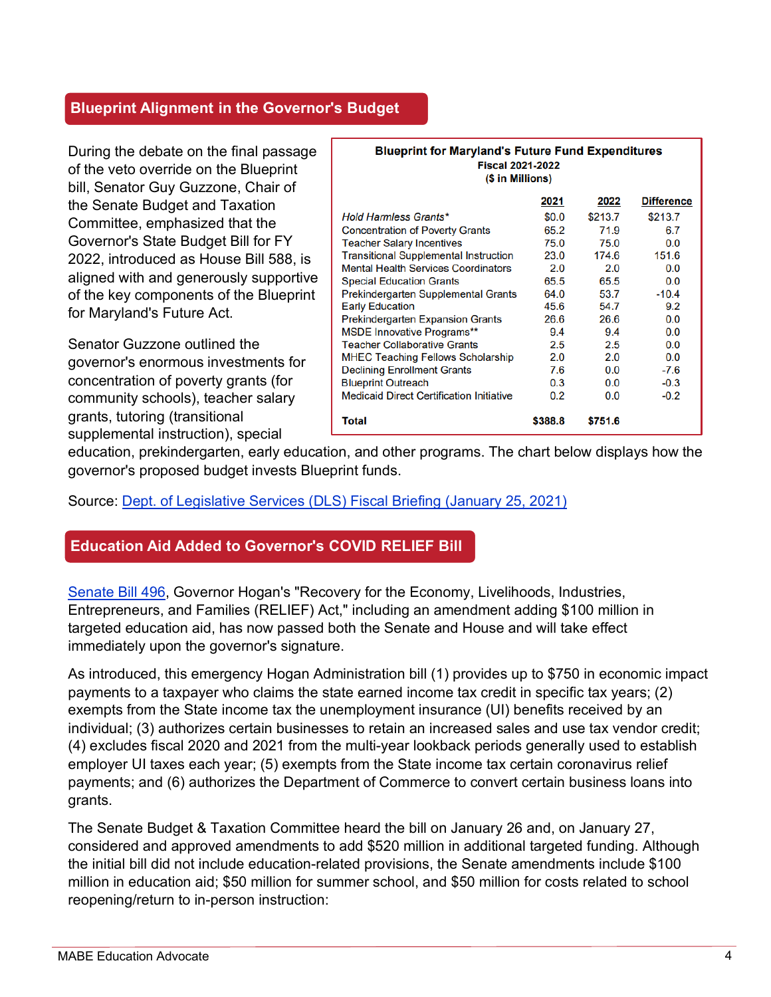### **Blueprint Alignment in the Governor's Budget**

During the debate on the final passage of the veto override on the Blueprint bill, Senator Guy Guzzone, Chair of the Senate Budget and Taxation Committee, emphasized that the Governor's State Budget Bill for FY 2022, introduced as House Bill 588, is aligned with and generously supportive of the key components of the Blueprint for Maryland's Future Act.

Senator Guzzone outlined the governor's enormous investments for concentration of poverty grants (for community schools), teacher salary grants, tutoring (transitional supplemental instruction), special

| <b>Blueprint for Maryland's Future Fund Expenditures</b><br><b>Fiscal 2021-2022</b><br>(\$ in Millions) |         |         |                   |
|---------------------------------------------------------------------------------------------------------|---------|---------|-------------------|
|                                                                                                         | 2021    | 2022    | <b>Difference</b> |
| <b>Hold Harmless Grants*</b>                                                                            | \$0.0   | \$213.7 | \$213.7           |
| <b>Concentration of Poverty Grants</b>                                                                  | 65.2    | 71.9    | 6.7               |
| <b>Teacher Salary Incentives</b>                                                                        | 75.0    | 75.0    | 0.0               |
| <b>Transitional Supplemental Instruction</b>                                                            | 23.0    | 174.6   | 151.6             |
| <b>Mental Health Services Coordinators</b>                                                              | 2.0     | 2.0     | 0.0               |
| <b>Special Education Grants</b>                                                                         | 65.5    | 65.5    | 0.0               |
| Prekindergarten Supplemental Grants                                                                     | 64.0    | 53.7    | $-10.4$           |
| <b>Early Education</b>                                                                                  | 45.6    | 54.7    | 9.2               |
| <b>Prekindergarten Expansion Grants</b>                                                                 | 26.6    | 26.6    | 0.0               |
| <b>MSDE Innovative Programs**</b>                                                                       | 9.4     | 9.4     | 0.0               |
| <b>Teacher Collaborative Grants</b>                                                                     | 2.5     | 2.5     | 0.0               |
| <b>MHEC Teaching Fellows Scholarship</b>                                                                | 2.0     | 2.0     | 0.0               |
| <b>Declining Enrollment Grants</b>                                                                      | 7.6     | 0.0     | $-7.6$            |
| <b>Blueprint Outreach</b>                                                                               | 0.3     | 0.0     | $-0.3$            |
| <b>Medicaid Direct Certification Initiative</b>                                                         | 0.2     | 0.0     | $-0.2$            |
| Total                                                                                                   | \$388.8 | \$751.6 |                   |

education, prekindergarten, early education, and other programs. The chart below displays how the governor's proposed budget invests Blueprint funds.

#### Source: [Dept. of Legislative Services \(DLS\) Fiscal Briefing \(January 25, 2021\)](https://mgaleg.maryland.gov/Pubs/BudgetFiscal/2021_Fiscal_Briefing.pdf)

### **Education Aid Added to Governor's COVID RELIEF Bill**

[Senate Bill 496,](https://mgaleg.maryland.gov/mgawebsite/Legislation/Details/sb0496) Governor Hogan's "Recovery for the Economy, Livelihoods, Industries, Entrepreneurs, and Families (RELIEF) Act," including an amendment adding \$100 million in targeted education aid, has now passed both the Senate and House and will take effect immediately upon the governor's signature.

As introduced, this emergency Hogan Administration bill (1) provides up to \$750 in economic impact payments to a taxpayer who claims the state earned income tax credit in specific tax years; (2) exempts from the State income tax the unemployment insurance (UI) benefits received by an individual; (3) authorizes certain businesses to retain an increased sales and use tax vendor credit; (4) excludes fiscal 2020 and 2021 from the multi-year lookback periods generally used to establish employer UI taxes each year; (5) exempts from the State income tax certain coronavirus relief payments; and (6) authorizes the Department of Commerce to convert certain business loans into grants.

The Senate Budget & Taxation Committee heard the bill on January 26 and, on January 27, considered and approved amendments to add \$520 million in additional targeted funding. Although the initial bill did not include education-related provisions, the Senate amendments include \$100 million in education aid; \$50 million for summer school, and \$50 million for costs related to school reopening/return to in-person instruction: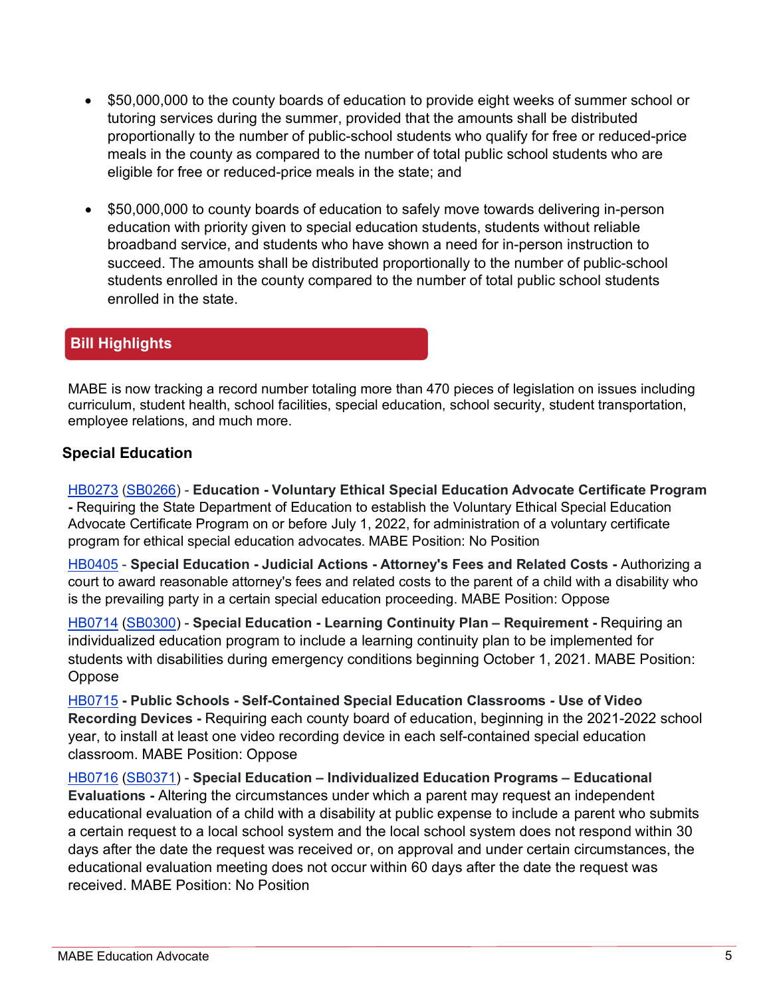- \$50,000,000 to the county boards of education to provide eight weeks of summer school or tutoring services during the summer, provided that the amounts shall be distributed proportionally to the number of public-school students who qualify for free or reduced-price meals in the county as compared to the number of total public school students who are eligible for free or reduced-price meals in the state; and
- \$50,000,000 to county boards of education to safely move towards delivering in-person education with priority given to special education students, students without reliable broadband service, and students who have shown a need for in-person instruction to succeed. The amounts shall be distributed proportionally to the number of public-school students enrolled in the county compared to the number of total public school students enrolled in the state.

### **Bill Highlights**

MABE is now tracking a record number totaling more than 470 pieces of legislation on issues including curriculum, student health, school facilities, special education, school security, student transportation, employee relations, and much more.

#### **Special Education**

[HB0273](http://mgaleg.maryland.gov/mgawebsite/Legislation/Details/hb0273?ys=2021RS) [\(SB0266\)](http://mgaleg.maryland.gov/mgawebsite/Legislation/Details/sb0266?ys=2021RS) - **Education - Voluntary Ethical Special Education Advocate Certificate Program -** Requiring the State Department of Education to establish the Voluntary Ethical Special Education Advocate Certificate Program on or before July 1, 2022, for administration of a voluntary certificate program for ethical special education advocates. MABE Position: No Position

[HB0405](http://mgaleg.maryland.gov/mgawebsite/Legislation/Details/hb0405?ys=2021RS) - **Special Education - Judicial Actions - Attorney's Fees and Related Costs -** Authorizing a court to award reasonable attorney's fees and related costs to the parent of a child with a disability who is the prevailing party in a certain special education proceeding. MABE Position: Oppose

[HB0714](https://mgaleg.maryland.gov/mgawebsite/Legislation/Details/hb0714?ys=2021RS) [\(SB0300\)](https://mgaleg.maryland.gov/mgawebsite/Legislation/Details/sb0300?ys=2021RS) - **Special Education - Learning Continuity Plan – Requirement -** Requiring an individualized education program to include a learning continuity plan to be implemented for students with disabilities during emergency conditions beginning October 1, 2021. MABE Position: Oppose

[HB0715](https://mgaleg.maryland.gov/mgawebsite/Legislation/Details/hb0715?ys=2021RS) **- Public Schools - Self-Contained Special Education Classrooms - Use of Video Recording Devices -** Requiring each county board of education, beginning in the 2021-2022 school year, to install at least one video recording device in each self-contained special education classroom. MABE Position: Oppose

[HB0716](https://mgaleg.maryland.gov/mgawebsite/Legislation/Details/hb0716?ys=2021RS) [\(SB0371\)](https://mgaleg.maryland.gov/mgawebsite/Legislation/Details/sb0371?ys=2021RS) - **Special Education – Individualized Education Programs – Educational Evaluations -** Altering the circumstances under which a parent may request an independent educational evaluation of a child with a disability at public expense to include a parent who submits a certain request to a local school system and the local school system does not respond within 30 days after the date the request was received or, on approval and under certain circumstances, the educational evaluation meeting does not occur within 60 days after the date the request was received. MABE Position: No Position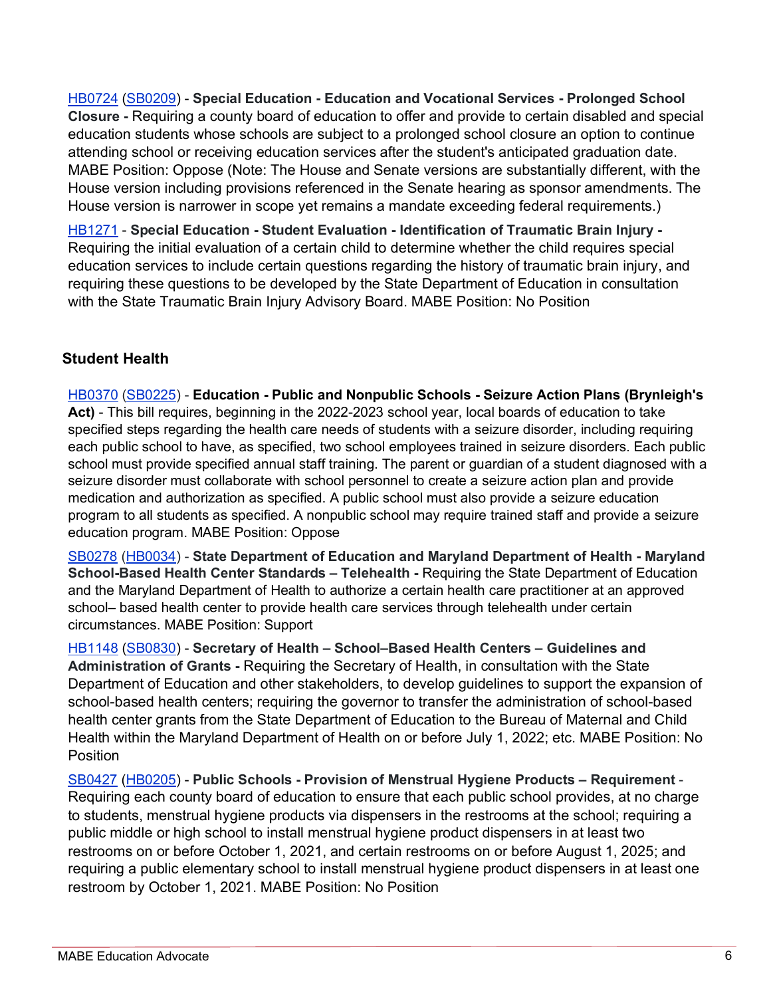[HB0724](https://mgaleg.maryland.gov/mgawebsite/Legislation/Details/hb0724?ys=2021RS) [\(SB0209\)](https://mgaleg.maryland.gov/mgawebsite/Legislation/Details/sb0209?ys=2021RS) - **Special Education - Education and Vocational Services - Prolonged School Closure -** Requiring a county board of education to offer and provide to certain disabled and special education students whose schools are subject to a prolonged school closure an option to continue attending school or receiving education services after the student's anticipated graduation date. MABE Position: Oppose (Note: The House and Senate versions are substantially different, with the House version including provisions referenced in the Senate hearing as sponsor amendments. The House version is narrower in scope yet remains a mandate exceeding federal requirements.)

[HB1271](https://mgaleg.maryland.gov/mgawebsite/Legislation/Details/hb1271?ys=2021RS) - **Special Education - Student Evaluation - Identification of Traumatic Brain Injury -** Requiring the initial evaluation of a certain child to determine whether the child requires special education services to include certain questions regarding the history of traumatic brain injury, and requiring these questions to be developed by the State Department of Education in consultation with the State Traumatic Brain Injury Advisory Board. MABE Position: No Position

## **Student Health**

[HB0370](http://mgaleg.maryland.gov/mgawebsite/Legislation/Details/hb0370?ys=2021RS) [\(SB0225\)](http://mgaleg.maryland.gov/mgawebsite/Legislation/Details/sb0225?ys=2021RS) - **Education - Public and Nonpublic Schools - Seizure Action Plans (Brynleigh's Act)** - This bill requires, beginning in the 2022-2023 school year, local boards of education to take specified steps regarding the health care needs of students with a seizure disorder, including requiring each public school to have, as specified, two school employees trained in seizure disorders. Each public school must provide specified annual staff training. The parent or guardian of a student diagnosed with a seizure disorder must collaborate with school personnel to create a seizure action plan and provide medication and authorization as specified. A public school must also provide a seizure education program to all students as specified. A nonpublic school may require trained staff and provide a seizure education program. MABE Position: Oppose

[SB0278](http://mgaleg.maryland.gov/mgawebsite/Legislation/Details/sb0278?ys=2021RS) [\(HB0034\)](http://mgaleg.maryland.gov/mgawebsite/Legislation/Details/hb0034?ys=2021RS) - **State Department of Education and Maryland Department of Health - Maryland School-Based Health Center Standards – Telehealth -** Requiring the State Department of Education and the Maryland Department of Health to authorize a certain health care practitioner at an approved school– based health center to provide health care services through telehealth under certain circumstances. MABE Position: Support

[HB1148](https://mgaleg.maryland.gov/mgawebsite/Legislation/Details/hb1148?ys=2021RS) [\(SB0830\)](https://mgaleg.maryland.gov/mgawebsite/Legislation/Details/sb0830?ys=2021RS) - **Secretary of Health – School–Based Health Centers – Guidelines and Administration of Grants -** Requiring the Secretary of Health, in consultation with the State Department of Education and other stakeholders, to develop guidelines to support the expansion of school-based health centers; requiring the governor to transfer the administration of school-based health center grants from the State Department of Education to the Bureau of Maternal and Child Health within the Maryland Department of Health on or before July 1, 2022; etc. MABE Position: No **Position** 

[SB0427](http://mgaleg.maryland.gov/mgawebsite/Legislation/Details/sb0427?ys=2021RS) [\(HB0205\)](http://mgaleg.maryland.gov/mgawebsite/Legislation/Details/hb0205?ys=2021RS) - **Public Schools - Provision of Menstrual Hygiene Products – Requirement** - Requiring each county board of education to ensure that each public school provides, at no charge to students, menstrual hygiene products via dispensers in the restrooms at the school; requiring a public middle or high school to install menstrual hygiene product dispensers in at least two restrooms on or before October 1, 2021, and certain restrooms on or before August 1, 2025; and requiring a public elementary school to install menstrual hygiene product dispensers in at least one restroom by October 1, 2021. MABE Position: No Position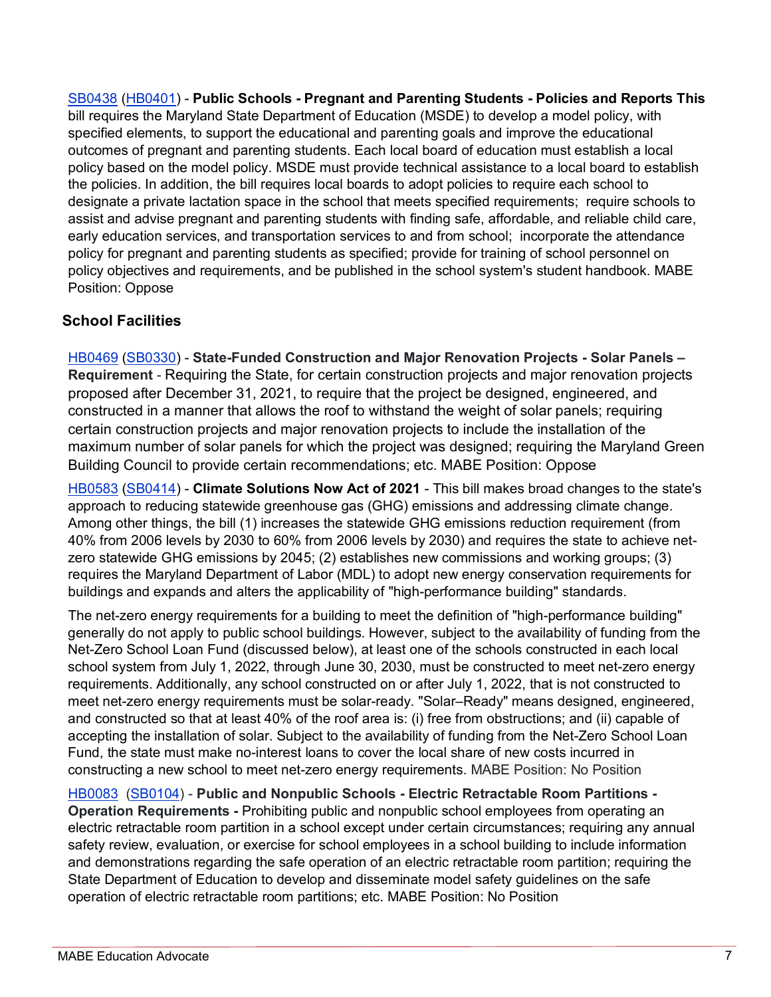[SB0438](http://mgaleg.maryland.gov/mgawebsite/Legislation/Details/sb0438?ys=2021RS) [\(HB0401\)](http://mgaleg.maryland.gov/mgawebsite/Legislation/Details/hb0401?ys=2021RS) - **Public Schools - Pregnant and Parenting Students - Policies and Reports This** bill requires the Maryland State Department of Education (MSDE) to develop a model policy, with specified elements, to support the educational and parenting goals and improve the educational outcomes of pregnant and parenting students. Each local board of education must establish a local policy based on the model policy. MSDE must provide technical assistance to a local board to establish the policies. In addition, the bill requires local boards to adopt policies to require each school to designate a private lactation space in the school that meets specified requirements; require schools to assist and advise pregnant and parenting students with finding safe, affordable, and reliable child care, early education services, and transportation services to and from school; incorporate the attendance policy for pregnant and parenting students as specified; provide for training of school personnel on policy objectives and requirements, and be published in the school system's student handbook. MABE Position: Oppose

## **School Facilities**

[HB0469](http://mgaleg.maryland.gov/mgawebsite/Legislation/Details/hb0469?ys=2021RS) [\(SB0330\)](http://mgaleg.maryland.gov/mgawebsite/Legislation/Details/sb0330?ys=2021RS) - **State-Funded Construction and Major Renovation Projects - Solar Panels – Requirement** - Requiring the State, for certain construction projects and major renovation projects proposed after December 31, 2021, to require that the project be designed, engineered, and constructed in a manner that allows the roof to withstand the weight of solar panels; requiring certain construction projects and major renovation projects to include the installation of the maximum number of solar panels for which the project was designed; requiring the Maryland Green Building Council to provide certain recommendations; etc. MABE Position: Oppose

[HB0583](https://mgaleg.maryland.gov/mgawebsite/Legislation/Details/hb0583?ys=2021RS) [\(SB0414\)](https://mgaleg.maryland.gov/mgawebsite/Legislation/Details/sb0414?ys=2021RS) - **Climate Solutions Now Act of 2021** - This bill makes broad changes to the state's approach to reducing statewide greenhouse gas (GHG) emissions and addressing climate change. Among other things, the bill (1) increases the statewide GHG emissions reduction requirement (from 40% from 2006 levels by 2030 to 60% from 2006 levels by 2030) and requires the state to achieve netzero statewide GHG emissions by 2045; (2) establishes new commissions and working groups; (3) requires the Maryland Department of Labor (MDL) to adopt new energy conservation requirements for buildings and expands and alters the applicability of "high-performance building" standards.

The net-zero energy requirements for a building to meet the definition of "high-performance building" generally do not apply to public school buildings. However, subject to the availability of funding from the Net-Zero School Loan Fund (discussed below), at least one of the schools constructed in each local school system from July 1, 2022, through June 30, 2030, must be constructed to meet net-zero energy requirements. Additionally, any school constructed on or after July 1, 2022, that is not constructed to meet net-zero energy requirements must be solar-ready. "Solar–Ready" means designed, engineered, and constructed so that at least 40% of the roof area is: (i) free from obstructions; and (ii) capable of accepting the installation of solar. Subject to the availability of funding from the Net-Zero School Loan Fund, the state must make no-interest loans to cover the local share of new costs incurred in constructing a new school to meet net-zero energy requirements. MABE Position: No Position

[HB0083](http://mgaleg.maryland.gov/mgawebsite/Legislation/Details/hb0083?ys=2021RS) [\(SB0104\)](http://mgaleg.maryland.gov/mgawebsite/Legislation/Details/sb0104?ys=2021RS) - **Public and Nonpublic Schools - Electric Retractable Room Partitions - Operation Requirements -** Prohibiting public and nonpublic school employees from operating an electric retractable room partition in a school except under certain circumstances; requiring any annual safety review, evaluation, or exercise for school employees in a school building to include information and demonstrations regarding the safe operation of an electric retractable room partition; requiring the State Department of Education to develop and disseminate model safety guidelines on the safe operation of electric retractable room partitions; etc. MABE Position: No Position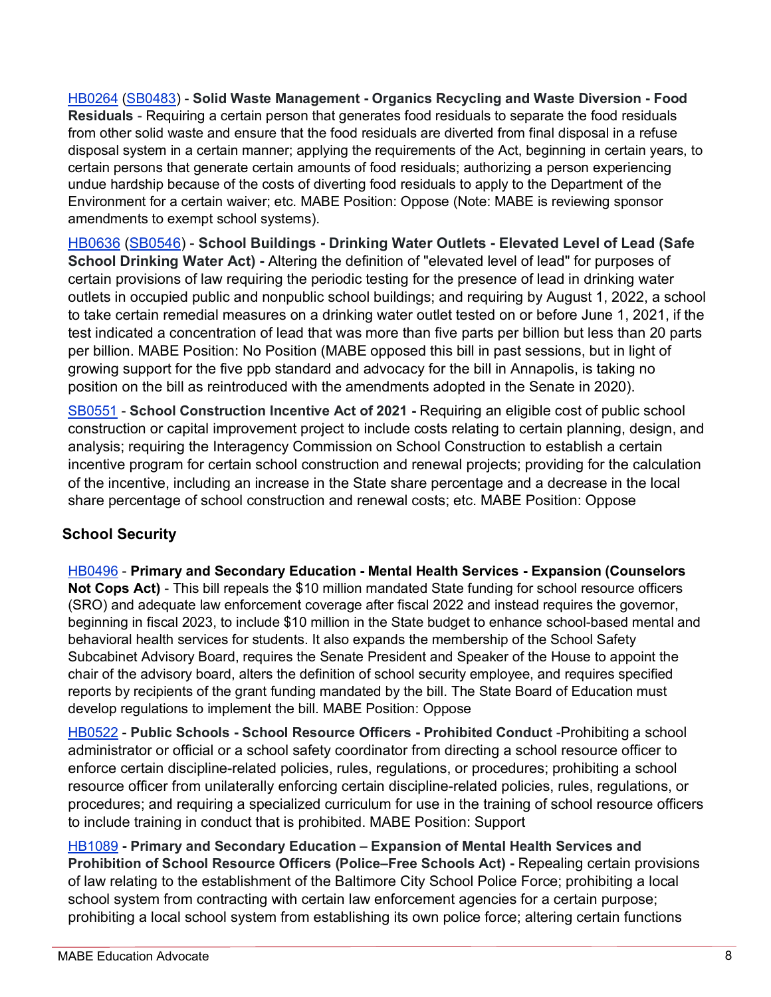[HB0264](http://mgaleg.maryland.gov/mgawebsite/Legislation/Details/hb0264?ys=2021RS) [\(SB0483\)](http://mgaleg.maryland.gov/mgawebsite/Legislation/Details/sb0483?ys=2021RS) - **Solid Waste Management - Organics Recycling and Waste Diversion - Food Residuals** - Requiring a certain person that generates food residuals to separate the food residuals from other solid waste and ensure that the food residuals are diverted from final disposal in a refuse disposal system in a certain manner; applying the requirements of the Act, beginning in certain years, to certain persons that generate certain amounts of food residuals; authorizing a person experiencing undue hardship because of the costs of diverting food residuals to apply to the Department of the Environment for a certain waiver; etc. MABE Position: Oppose (Note: MABE is reviewing sponsor amendments to exempt school systems).

[HB0636](http://mgaleg.maryland.gov/mgawebsite/Legislation/Details/hb0636?ys=2021RS) [\(SB0546\)](http://mgaleg.maryland.gov/mgawebsite/Legislation/Details/sb0546?ys=2021RS) - **School Buildings - Drinking Water Outlets - Elevated Level of Lead (Safe School Drinking Water Act) -** Altering the definition of "elevated level of lead" for purposes of certain provisions of law requiring the periodic testing for the presence of lead in drinking water outlets in occupied public and nonpublic school buildings; and requiring by August 1, 2022, a school to take certain remedial measures on a drinking water outlet tested on or before June 1, 2021, if the test indicated a concentration of lead that was more than five parts per billion but less than 20 parts per billion. MABE Position: No Position (MABE opposed this bill in past sessions, but in light of growing support for the five ppb standard and advocacy for the bill in Annapolis, is taking no position on the bill as reintroduced with the amendments adopted in the Senate in 2020).

[SB0551](https://mgaleg.maryland.gov/mgawebsite/Legislation/Details/sb0551?ys=2021RS) - **School Construction Incentive Act of 2021 -** Requiring an eligible cost of public school construction or capital improvement project to include costs relating to certain planning, design, and analysis; requiring the Interagency Commission on School Construction to establish a certain incentive program for certain school construction and renewal projects; providing for the calculation of the incentive, including an increase in the State share percentage and a decrease in the local share percentage of school construction and renewal costs; etc. MABE Position: Oppose

# **School Security**

[HB0496](http://mgaleg.maryland.gov/mgawebsite/Legislation/Details/hb0496?ys=2021RS) - **Primary and Secondary Education - Mental Health Services - Expansion (Counselors Not Cops Act)** - This bill repeals the \$10 million mandated State funding for school resource officers (SRO) and adequate law enforcement coverage after fiscal 2022 and instead requires the governor, beginning in fiscal 2023, to include \$10 million in the State budget to enhance school-based mental and behavioral health services for students. It also expands the membership of the School Safety Subcabinet Advisory Board, requires the Senate President and Speaker of the House to appoint the chair of the advisory board, alters the definition of school security employee, and requires specified reports by recipients of the grant funding mandated by the bill. The State Board of Education must develop regulations to implement the bill. MABE Position: Oppose

[HB0522](http://mgaleg.maryland.gov/mgawebsite/Legislation/Details/hb0522?ys=2021RS) - **Public Schools - School Resource Officers - Prohibited Conduct** -Prohibiting a school administrator or official or a school safety coordinator from directing a school resource officer to enforce certain discipline-related policies, rules, regulations, or procedures; prohibiting a school resource officer from unilaterally enforcing certain discipline-related policies, rules, regulations, or procedures; and requiring a specialized curriculum for use in the training of school resource officers to include training in conduct that is prohibited. MABE Position: Support

[HB1089](https://mgaleg.maryland.gov/mgawebsite/Legislation/Details/hb1089?ys=2021RS) **- Primary and Secondary Education – Expansion of Mental Health Services and Prohibition of School Resource Officers (Police–Free Schools Act) -** Repealing certain provisions of law relating to the establishment of the Baltimore City School Police Force; prohibiting a local school system from contracting with certain law enforcement agencies for a certain purpose; prohibiting a local school system from establishing its own police force; altering certain functions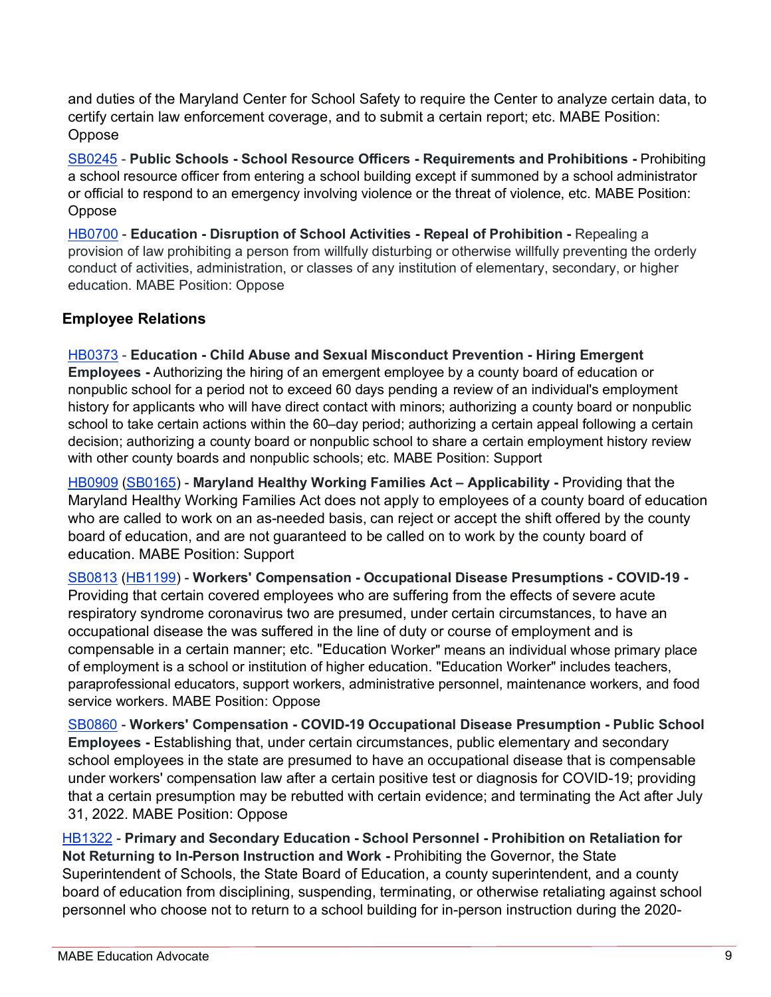and duties of the Maryland Center for School Safety to require the Center to analyze certain data, to certify certain law enforcement coverage, and to submit a certain report; etc. MABE Position: Oppose

[SB0245](http://mgaleg.maryland.gov/mgawebsite/Legislation/Details/sb0245?ys=2021RS) - **Public Schools - School Resource Officers - Requirements and Prohibitions -** Prohibiting a school resource officer from entering a school building except if summoned by a school administrator or official to respond to an emergency involving violence or the threat of violence, etc. MABE Position: Oppose

[HB0700](https://mgaleg.maryland.gov/mgawebsite/Legislation/Details/hb0700?ys=2021RS) - **Education - Disruption of School Activities - Repeal of Prohibition -** Repealing a provision of law prohibiting a person from willfully disturbing or otherwise willfully preventing the orderly conduct of activities, administration, or classes of any institution of elementary, secondary, or higher education. MABE Position: Oppose

### **Employee Relations**

[HB0373](http://mgaleg.maryland.gov/mgawebsite/Legislation/Details/hb0373?ys=2021RS) - **Education - Child Abuse and Sexual Misconduct Prevention - Hiring Emergent Employees -** Authorizing the hiring of an emergent employee by a county board of education or nonpublic school for a period not to exceed 60 days pending a review of an individual's employment history for applicants who will have direct contact with minors; authorizing a county board or nonpublic school to take certain actions within the 60–day period; authorizing a certain appeal following a certain decision; authorizing a county board or nonpublic school to share a certain employment history review with other county boards and nonpublic schools; etc. MABE Position: Support

[HB0909](https://mgaleg.maryland.gov/mgawebsite/Legislation/Details/hb0909?ys=2021RS) [\(SB0165\)](https://mgaleg.maryland.gov/mgawebsite/Legislation/Details/sb0165?ys=2021RS) - **Maryland Healthy Working Families Act – Applicability -** Providing that the Maryland Healthy Working Families Act does not apply to employees of a county board of education who are called to work on an as-needed basis, can reject or accept the shift offered by the county board of education, and are not guaranteed to be called on to work by the county board of education. MABE Position: Support

[SB0813](https://mgaleg.maryland.gov/mgawebsite/Legislation/Details/sb0813?ys=2021RS) [\(HB1199\)](https://mgaleg.maryland.gov/mgawebsite/Legislation/Details/hb1199?ys=2021RS) - **Workers' Compensation - Occupational Disease Presumptions - COVID-19 -** Providing that certain covered employees who are suffering from the effects of severe acute respiratory syndrome coronavirus two are presumed, under certain circumstances, to have an occupational disease the was suffered in the line of duty or course of employment and is compensable in a certain manner; etc. "Education Worker" means an individual whose primary place of employment is a school or institution of higher education. "Education Worker" includes teachers, paraprofessional educators, support workers, administrative personnel, maintenance workers, and food service workers. MABE Position: Oppose

[SB0860](https://mgaleg.maryland.gov/mgawebsite/Legislation/Details/sb0860?ys=2021RS) - **Workers' Compensation - COVID-19 Occupational Disease Presumption - Public School Employees -** Establishing that, under certain circumstances, public elementary and secondary school employees in the state are presumed to have an occupational disease that is compensable under workers' compensation law after a certain positive test or diagnosis for COVID-19; providing that a certain presumption may be rebutted with certain evidence; and terminating the Act after July 31, 2022. MABE Position: Oppose

[HB1322](https://mgaleg.maryland.gov/mgawebsite/Legislation/Details/hb1322?ys=2021RS) - **Primary and Secondary Education - School Personnel - Prohibition on Retaliation for Not Returning to In-Person Instruction and Work -** Prohibiting the Governor, the State Superintendent of Schools, the State Board of Education, a county superintendent, and a county board of education from disciplining, suspending, terminating, or otherwise retaliating against school personnel who choose not to return to a school building for in-person instruction during the 2020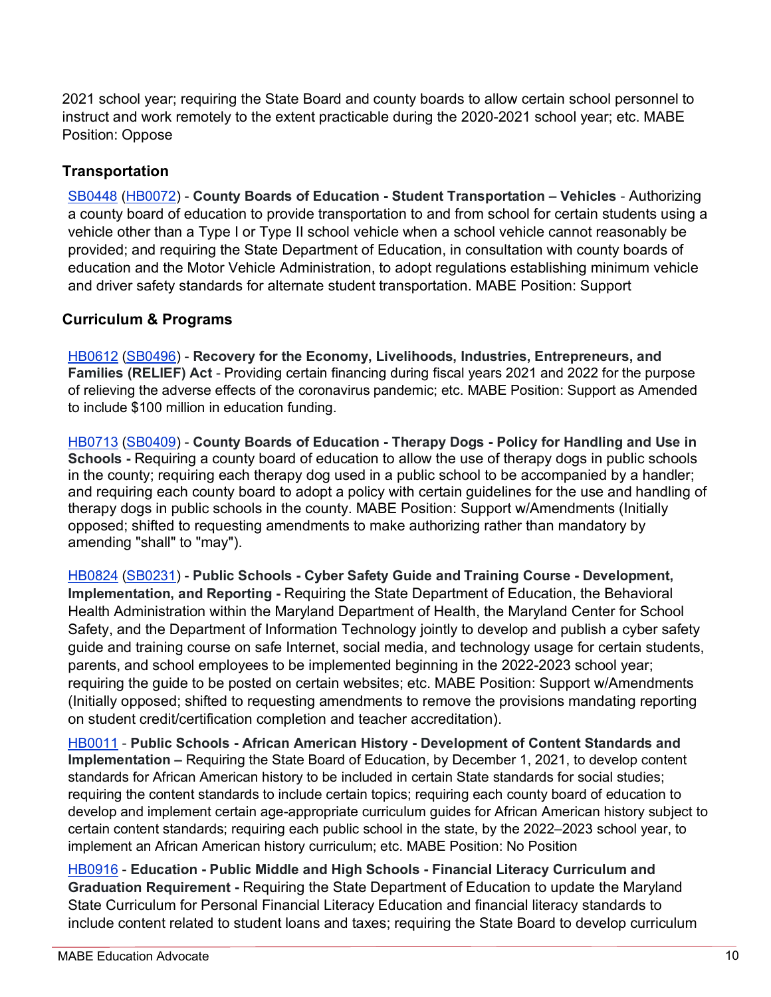2021 school year; requiring the State Board and county boards to allow certain school personnel to instruct and work remotely to the extent practicable during the 2020-2021 school year; etc. MABE Position: Oppose

# **Transportation**

[SB0448](http://mgaleg.maryland.gov/mgawebsite/Legislation/Details/sb0448?ys=2021RS) [\(HB0072\)](http://mgaleg.maryland.gov/mgawebsite/Legislation/Details/hb0072?ys=2021RS) - **County Boards of Education - Student Transportation – Vehicles** - Authorizing a county board of education to provide transportation to and from school for certain students using a vehicle other than a Type I or Type II school vehicle when a school vehicle cannot reasonably be provided; and requiring the State Department of Education, in consultation with county boards of education and the Motor Vehicle Administration, to adopt regulations establishing minimum vehicle and driver safety standards for alternate student transportation. MABE Position: Support

# **Curriculum & Programs**

[HB0612](http://mgaleg.maryland.gov/mgawebsite/Legislation/Details/hb0612?ys=2021RS) [\(SB0496\)](http://mgaleg.maryland.gov/mgawebsite/Legislation/Details/sb0496?ys=2021RS) - **Recovery for the Economy, Livelihoods, Industries, Entrepreneurs, and Families (RELIEF) Act** - Providing certain financing during fiscal years 2021 and 2022 for the purpose of relieving the adverse effects of the coronavirus pandemic; etc. MABE Position: Support as Amended to include \$100 million in education funding.

[HB0713](https://mgaleg.maryland.gov/mgawebsite/Legislation/Details/hb0713?ys=2021RS) [\(SB0409\)](https://mgaleg.maryland.gov/mgawebsite/Legislation/Details/sb0409?ys=2021RS) - **County Boards of Education - Therapy Dogs - Policy for Handling and Use in Schools -** Requiring a county board of education to allow the use of therapy dogs in public schools in the county; requiring each therapy dog used in a public school to be accompanied by a handler; and requiring each county board to adopt a policy with certain guidelines for the use and handling of therapy dogs in public schools in the county. MABE Position: Support w/Amendments (Initially opposed; shifted to requesting amendments to make authorizing rather than mandatory by amending "shall" to "may").

[HB0824](https://mgaleg.maryland.gov/mgawebsite/Legislation/Details/hb0824?ys=2021RS) [\(SB0231\)](https://mgaleg.maryland.gov/mgawebsite/Legislation/Details/sb0231?ys=2021RS) - **Public Schools - Cyber Safety Guide and Training Course - Development, Implementation, and Reporting -** Requiring the State Department of Education, the Behavioral Health Administration within the Maryland Department of Health, the Maryland Center for School Safety, and the Department of Information Technology jointly to develop and publish a cyber safety guide and training course on safe Internet, social media, and technology usage for certain students, parents, and school employees to be implemented beginning in the 2022-2023 school year; requiring the guide to be posted on certain websites; etc. MABE Position: Support w/Amendments (Initially opposed; shifted to requesting amendments to remove the provisions mandating reporting on student credit/certification completion and teacher accreditation).

[HB0011](http://mgaleg.maryland.gov/mgawebsite/Legislation/Details/hb0011?ys=2021RS) - **Public Schools - African American History - Development of Content Standards and Implementation –** Requiring the State Board of Education, by December 1, 2021, to develop content standards for African American history to be included in certain State standards for social studies; requiring the content standards to include certain topics; requiring each county board of education to develop and implement certain age-appropriate curriculum guides for African American history subject to certain content standards; requiring each public school in the state, by the 2022–2023 school year, to implement an African American history curriculum; etc. MABE Position: No Position

[HB0916](https://mgaleg.maryland.gov/mgawebsite/Legislation/Details/hb0916?ys=2021RS) - **Education - Public Middle and High Schools - Financial Literacy Curriculum and Graduation Requirement -** Requiring the State Department of Education to update the Maryland State Curriculum for Personal Financial Literacy Education and financial literacy standards to include content related to student loans and taxes; requiring the State Board to develop curriculum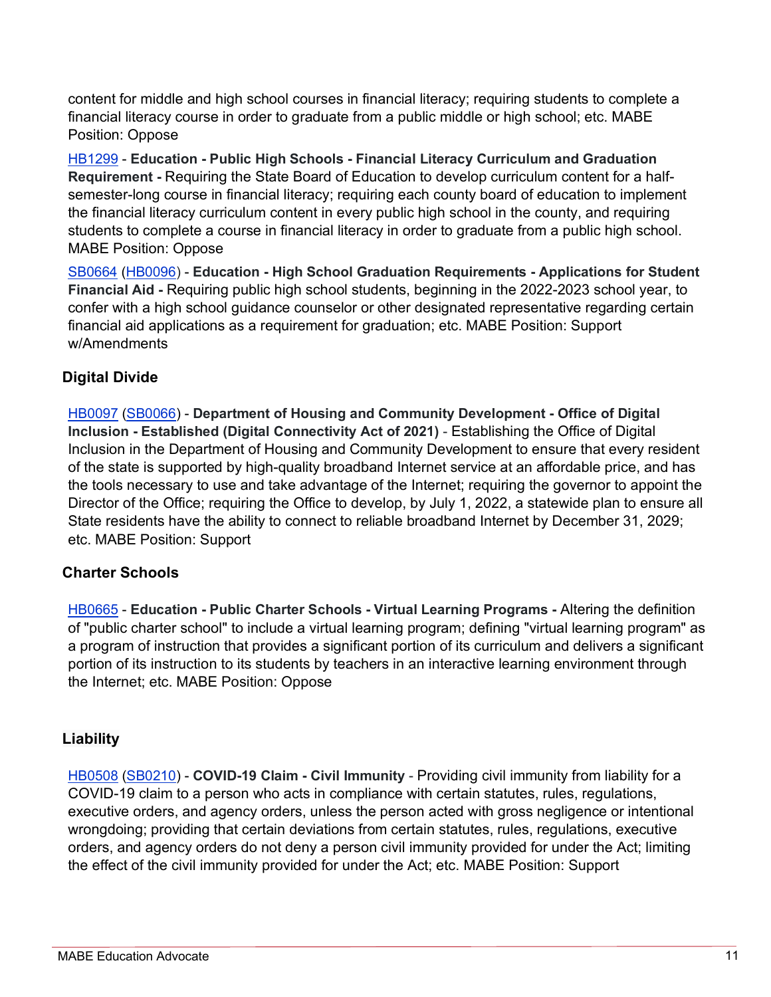content for middle and high school courses in financial literacy; requiring students to complete a financial literacy course in order to graduate from a public middle or high school; etc. MABE Position: Oppose

[HB1299](https://mgaleg.maryland.gov/mgawebsite/Legislation/Details/hb1299?ys=2021RS) - **Education - Public High Schools - Financial Literacy Curriculum and Graduation Requirement -** Requiring the State Board of Education to develop curriculum content for a halfsemester-long course in financial literacy; requiring each county board of education to implement the financial literacy curriculum content in every public high school in the county, and requiring students to complete a course in financial literacy in order to graduate from a public high school. MABE Position: Oppose

[SB0664](https://mgaleg.maryland.gov/mgawebsite/Legislation/Details/sb0664?ys=2021RS) [\(HB0096\)](http://mgaleg.maryland.gov/mgawebsite/Legislation/Details/hb0096?ys=2021RS) - **Education - High School Graduation Requirements - Applications for Student Financial Aid -** Requiring public high school students, beginning in the 2022-2023 school year, to confer with a high school guidance counselor or other designated representative regarding certain financial aid applications as a requirement for graduation; etc. MABE Position: Support w/Amendments

# **Digital Divide**

[HB0097](http://mgaleg.maryland.gov/mgawebsite/Legislation/Details/hb0097?ys=2021RS) [\(SB0066\)](http://mgaleg.maryland.gov/mgawebsite/Legislation/Details/sb0066?ys=2021RS) - **Department of Housing and Community Development - Office of Digital Inclusion - Established (Digital Connectivity Act of 2021)** - Establishing the Office of Digital Inclusion in the Department of Housing and Community Development to ensure that every resident of the state is supported by high-quality broadband Internet service at an affordable price, and has the tools necessary to use and take advantage of the Internet; requiring the governor to appoint the Director of the Office; requiring the Office to develop, by July 1, 2022, a statewide plan to ensure all State residents have the ability to connect to reliable broadband Internet by December 31, 2029; etc. MABE Position: Support

# **Charter Schools**

[HB0665](http://mgaleg.maryland.gov/mgawebsite/Legislation/Details/hb0665?ys=2021RS) - **Education - Public Charter Schools - Virtual Learning Programs -** Altering the definition of "public charter school" to include a virtual learning program; defining "virtual learning program" as a program of instruction that provides a significant portion of its curriculum and delivers a significant portion of its instruction to its students by teachers in an interactive learning environment through the Internet; etc. MABE Position: Oppose

# **Liability**

[HB0508](http://mgaleg.maryland.gov/mgawebsite/Legislation/Details/hb0508?ys=2021RS) [\(SB0210\)](http://mgaleg.maryland.gov/mgawebsite/Legislation/Details/sb0210?ys=2021RS) - **COVID-19 Claim - Civil Immunity** - Providing civil immunity from liability for a COVID-19 claim to a person who acts in compliance with certain statutes, rules, regulations, executive orders, and agency orders, unless the person acted with gross negligence or intentional wrongdoing; providing that certain deviations from certain statutes, rules, regulations, executive orders, and agency orders do not deny a person civil immunity provided for under the Act; limiting the effect of the civil immunity provided for under the Act; etc. MABE Position: Support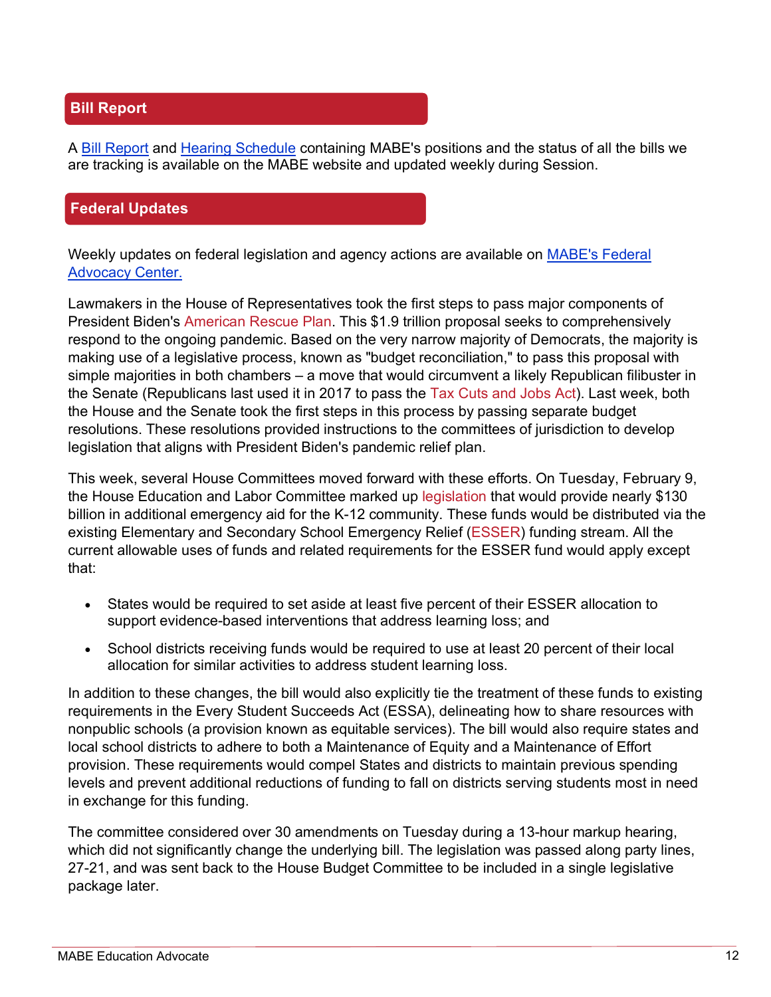## **Bill Report**

A [Bill Report](https://www.mabe.org/wp-content/uploads/2021/02/February-12-2021-Bill-Report-FINAL-ICR-1.pdf) and [Hearing Schedule](https://www.mabe.org/wp-content/uploads/2021/02/02.12.2021-Bill-Hearing-Schedule-Final-ICR.pdf) containing MABE's positions and the status of all the bills we are tracking is available on the MABE website and updated weekly during Session.

### **Federal Updates**

Weekly updates on federal legislation and agency actions are available on [MABE's Federal](https://www.mabe.org/advocacy/federal-advocacy-center/)  [Advocacy Center.](https://www.mabe.org/advocacy/federal-advocacy-center/)

Lawmakers in the House of Representatives took the first steps to pass major components of President Biden's [American Rescue Plan.](https://www.whitehouse.gov/briefing-room/legislation/2021/01/20/president-biden-announces-american-rescue-plan/) This \$1.9 trillion proposal seeks to comprehensively respond to the ongoing pandemic. Based on the very narrow majority of Democrats, the majority is making use of a legislative process, known as "budget reconciliation," to pass this proposal with simple majorities in both chambers – a move that would circumvent a likely Republican filibuster in the Senate (Republicans last used it in 2017 to pass the [Tax Cuts and Jobs Act\)](https://www.congress.gov/bill/115th-congress/house-bill/1/text/eh). Last week, both the House and the Senate took the first steps in this process by passing separate budget resolutions. These resolutions provided instructions to the committees of jurisdiction to develop legislation that aligns with President Biden's pandemic relief plan.

This week, several House Committees moved forward with these efforts. On Tuesday, February 9, the House Education and Labor Committee marked up [legislation](https://edlabor.house.gov/imo/media/doc/ANS_CommitteePrint(ReconciliationDirectives).pdf) that would provide nearly \$130 billion in additional emergency aid for the K-12 community. These funds would be distributed via the existing Elementary and Secondary School Emergency Relief [\(ESSER\)](https://oese.ed.gov/offices/education-stabilization-fund/elementary-secondary-school-emergency-relief-fund/) funding stream. All the current allowable uses of funds and related requirements for the ESSER fund would apply except that:

- States would be required to set aside at least five percent of their ESSER allocation to support evidence-based interventions that address learning loss; and
- School districts receiving funds would be required to use at least 20 percent of their local allocation for similar activities to address student learning loss.

In addition to these changes, the bill would also explicitly tie the treatment of these funds to existing requirements in the Every Student Succeeds Act (ESSA), delineating how to share resources with nonpublic schools (a provision known as equitable services). The bill would also require states and local school districts to adhere to both a Maintenance of Equity and a Maintenance of Effort provision. These requirements would compel States and districts to maintain previous spending levels and prevent additional reductions of funding to fall on districts serving students most in need in exchange for this funding.

The committee considered over 30 amendments on Tuesday during a 13-hour markup hearing, which did not significantly change the underlying bill. The legislation was passed along party lines, 27-21, and was sent back to the House Budget Committee to be included in a single legislative package later.